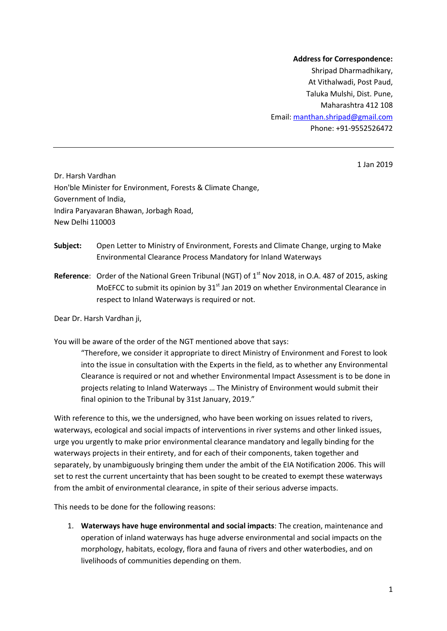## **Address for Correspondence:** Shripad Dharmadhikary, At Vithalwadi, Post Paud, Taluka Mulshi, Dist. Pune, Maharashtra 412 108 Email: manthan.shripad@gmail.com

Phone: +91-9552526472

1 Jan 2019

Dr. Harsh Vardhan Hon'ble Minister for Environment, Forests & Climate Change, Government of India, Indira Paryavaran Bhawan, Jorbagh Road, New Delhi 110003

- **Subject:** Open Letter to Ministry of Environment, Forests and Climate Change, urging to Make Environmental Clearance Process Mandatory for Inland Waterways
- **Reference:** Order of the National Green Tribunal (NGT) of 1<sup>st</sup> Nov 2018, in O.A. 487 of 2015, asking MoEFCC to submit its opinion by  $31<sup>st</sup>$  Jan 2019 on whether Environmental Clearance in respect to Inland Waterways is required or not.

Dear Dr. Harsh Vardhan ji,

You will be aware of the order of the NGT mentioned above that says:

"Therefore, we consider it appropriate to direct Ministry of Environment and Forest to look into the issue in consultation with the Experts in the field, as to whether any Environmental Clearance is required or not and whether Environmental Impact Assessment is to be done in projects relating to Inland Waterways … The Ministry of Environment would submit their final opinion to the Tribunal by 31st January, 2019."

With reference to this, we the undersigned, who have been working on issues related to rivers, waterways, ecological and social impacts of interventions in river systems and other linked issues, urge you urgently to make prior environmental clearance mandatory and legally binding for the waterways projects in their entirety, and for each of their components, taken together and separately, by unambiguously bringing them under the ambit of the EIA Notification 2006. This will set to rest the current uncertainty that has been sought to be created to exempt these waterways from the ambit of environmental clearance, in spite of their serious adverse impacts.

This needs to be done for the following reasons:

1. **Waterways have huge environmental and social impacts**: The creation, maintenance and operation of inland waterways has huge adverse environmental and social impacts on the morphology, habitats, ecology, flora and fauna of rivers and other waterbodies, and on livelihoods of communities depending on them.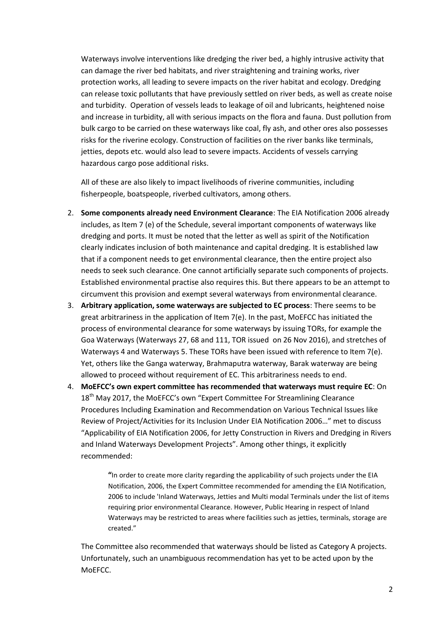Waterways involve interventions like dredging the river bed, a highly intrusive activity that can damage the river bed habitats, and river straightening and training works, river protection works, all leading to severe impacts on the river habitat and ecology. Dredging can release toxic pollutants that have previously settled on river beds, as well as create noise and turbidity. Operation of vessels leads to leakage of oil and lubricants, heightened noise and increase in turbidity, all with serious impacts on the flora and fauna. Dust pollution from bulk cargo to be carried on these waterways like coal, fly ash, and other ores also possesses risks for the riverine ecology. Construction of facilities on the river banks like terminals, jetties, depots etc. would also lead to severe impacts. Accidents of vessels carrying hazardous cargo pose additional risks.

All of these are also likely to impact livelihoods of riverine communities, including fisherpeople, boatspeople, riverbed cultivators, among others.

- 2. **Some components already need Environment Clearance**: The EIA Notification 2006 already includes, as Item 7 (e) of the Schedule, several important components of waterways like dredging and ports. It must be noted that the letter as well as spirit of the Notification clearly indicates inclusion of both maintenance and capital dredging. It is established law that if a component needs to get environmental clearance, then the entire project also needs to seek such clearance. One cannot artificially separate such components of projects. Established environmental practise also requires this. But there appears to be an attempt to circumvent this provision and exempt several waterways from environmental clearance.
- 3. **Arbitrary application, some waterways are subjected to EC process**: There seems to be great arbitrariness in the application of Item 7(e). In the past, MoEFCC has initiated the process of environmental clearance for some waterways by issuing TORs, for example the Goa Waterways (Waterways 27, 68 and 111, TOR issued on 26 Nov 2016), and stretches of Waterways 4 and Waterways 5. These TORs have been issued with reference to Item 7(e). Yet, others like the Ganga waterway, Brahmaputra waterway, Barak waterway are being allowed to proceed without requirement of EC. This arbitrariness needs to end.
- 4. **MoEFCC's own expert committee has recommended that waterways must require EC**: On 18<sup>th</sup> May 2017, the MoEFCC's own "Expert Committee For Streamlining Clearance Procedures Including Examination and Recommendation on Various Technical Issues like Review of Project/Activities for its Inclusion Under EIA Notification 2006…" met to discuss "Applicability of EIA Notification 2006, for Jetty Construction in Rivers and Dredging in Rivers and Inland Waterways Development Projects". Among other things, it explicitly recommended:

**"**In order to create more clarity regarding the applicability of such projects under the EIA Notification, 2006, the Expert Committee recommended for amending the EIA Notification, 2006 to include 'Inland Waterways, Jetties and Multi modal Terminals under the list of items requiring prior environmental Clearance. However, Public Hearing in respect of Inland Waterways may be restricted to areas where facilities such as jetties, terminals, storage are created."

The Committee also recommended that waterways should be listed as Category A projects. Unfortunately, such an unambiguous recommendation has yet to be acted upon by the MoEFCC.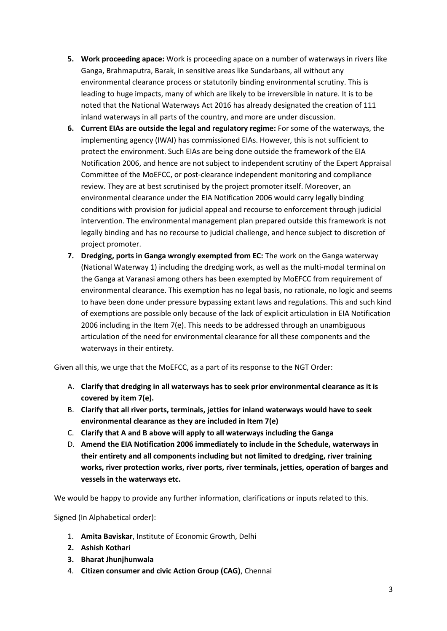- **5. Work proceeding apace:** Work is proceeding apace on a number of waterways in rivers like Ganga, Brahmaputra, Barak, in sensitive areas like Sundarbans, all without any environmental clearance process or statutorily binding environmental scrutiny. This is leading to huge impacts, many of which are likely to be irreversible in nature. It is to be noted that the National Waterways Act 2016 has already designated the creation of 111 inland waterways in all parts of the country, and more are under discussion.
- **6. Current EIAs are outside the legal and regulatory regime:** For some of the waterways, the implementing agency (IWAI) has commissioned EIAs. However, this is not sufficient to protect the environment. Such EIAs are being done outside the framework of the EIA Notification 2006, and hence are not subject to independent scrutiny of the Expert Appraisal Committee of the MoEFCC, or post-clearance independent monitoring and compliance review. They are at best scrutinised by the project promoter itself. Moreover, an environmental clearance under the EIA Notification 2006 would carry legally binding conditions with provision for judicial appeal and recourse to enforcement through judicial intervention. The environmental management plan prepared outside this framework is not legally binding and has no recourse to judicial challenge, and hence subject to discretion of project promoter.
- **7. Dredging, ports in Ganga wrongly exempted from EC:** The work on the Ganga waterway (National Waterway 1) including the dredging work, as well as the multi-modal terminal on the Ganga at Varanasi among others has been exempted by MoEFCC from requirement of environmental clearance. This exemption has no legal basis, no rationale, no logic and seems to have been done under pressure bypassing extant laws and regulations. This and such kind of exemptions are possible only because of the lack of explicit articulation in EIA Notification 2006 including in the Item 7(e). This needs to be addressed through an unambiguous articulation of the need for environmental clearance for all these components and the waterways in their entirety.

Given all this, we urge that the MoEFCC, as a part of its response to the NGT Order:

- A. **Clarify that dredging in all waterways has to seek prior environmental clearance as it is covered by item 7(e).**
- B. **Clarify that all river ports, terminals, jetties for inland waterways would have to seek environmental clearance as they are included in Item 7(e)**
- C. **Clarify that A and B above will apply to all waterways including the Ganga**
- D. **Amend the EIA Notification 2006 immediately to include in the Schedule, waterways in their entirety and all components including but not limited to dredging, river training works, river protection works, river ports, river terminals, jetties, operation of barges and vessels in the waterways etc.**

We would be happy to provide any further information, clarifications or inputs related to this.

## Signed (In Alphabetical order):

- 1. **Amita Baviskar**, Institute of Economic Growth, Delhi
- **2. Ashish Kothari**
- **3. Bharat Jhunjhunwala**
- 4. **Citizen consumer and civic Action Group (CAG)**, Chennai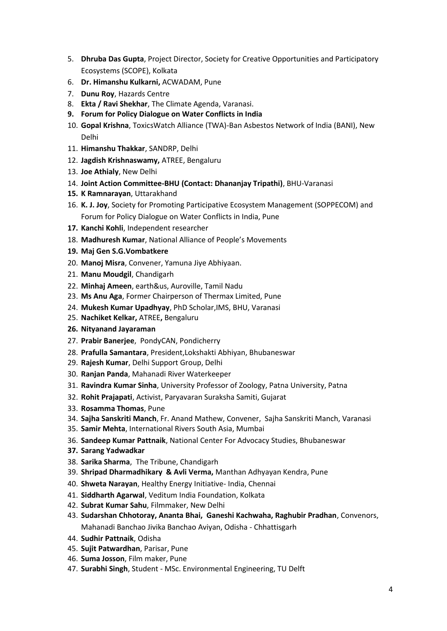- 5. **Dhruba Das Gupta**, Project Director, Society for Creative Opportunities and Participatory Ecosystems (SCOPE), Kolkata
- 6. **Dr. Himanshu Kulkarni,** ACWADAM, Pune
- 7. **Dunu Roy**, Hazards Centre
- 8. **Ekta / Ravi Shekhar**, The Climate Agenda, Varanasi.
- **9. Forum for Policy Dialogue on Water Conflicts in India**
- 10. **Gopal Krishna**, ToxicsWatch Alliance (TWA)-Ban Asbestos Network of India (BANI), New Delhi
- 11. **Himanshu Thakkar**, SANDRP, Delhi
- 12. **Jagdish Krishnaswamy,** ATREE, Bengaluru
- 13. **Joe Athialy**, New Delhi
- 14. **Joint Action Committee-BHU (Contact: Dhananjay Tripathi)**, BHU-Varanasi
- **15. K Ramnarayan**, Uttarakhand
- 16. **K. J. Joy**, Society for Promoting Participative Ecosystem Management (SOPPECOM) and Forum for Policy Dialogue on Water Conflicts in India, Pune
- **17. Kanchi Kohli**, Independent researcher
- 18. **Madhuresh Kumar**, National Alliance of People's Movements
- **19. Maj Gen S.G.Vombatkere**
- 20. **Manoj Misra**, Convener, Yamuna Jiye Abhiyaan.
- 21. **Manu Moudgil**, Chandigarh
- 22. **Minhaj Ameen**, earth&us, Auroville, Tamil Nadu
- 23. **Ms Anu Aga**, Former Chairperson of Thermax Limited, Pune
- 24. **Mukesh Kumar Upadhyay**, PhD Scholar,IMS, BHU, Varanasi
- 25. **Nachiket Kelkar,** ATREE**,** Bengaluru
- **26. Nityanand Jayaraman**
- 27. **Prabir Banerjee**, PondyCAN, Pondicherry
- 28. **Prafulla Samantara**, President,Lokshakti Abhiyan, Bhubaneswar
- 29. **Rajesh Kumar**, Delhi Support Group, Delhi
- 30. **Ranjan Panda**, Mahanadi River Waterkeeper
- 31. **Ravindra Kumar Sinha**, University Professor of Zoology, Patna University, Patna
- 32. **Rohit Prajapati**, Activist, Paryavaran Suraksha Samiti, Gujarat
- 33. **Rosamma Thomas**, Pune
- 34. **Sajha Sanskriti Manch**, Fr. Anand Mathew, Convener, Sajha Sanskriti Manch, Varanasi
- 35. **Samir Mehta**, International Rivers South Asia, Mumbai
- 36. **Sandeep Kumar Pattnaik**, National Center For Advocacy Studies, Bhubaneswar
- **37. Sarang Yadwadkar**
- 38. **Sarika Sharma**, The Tribune, Chandigarh
- 39. **Shripad Dharmadhikary & Avli Verma,** Manthan Adhyayan Kendra, Pune
- 40. **Shweta Narayan**, Healthy Energy Initiative- India, Chennai
- 41. **Siddharth Agarwal**, Veditum India Foundation, Kolkata
- 42. **Subrat Kumar Sahu**, Filmmaker, New Delhi
- 43. **Sudarshan Chhotoray, Ananta Bhai, Ganeshi Kachwaha, Raghubir Pradhan**, Convenors, Mahanadi Banchao Jivika Banchao Aviyan, Odisha - Chhattisgarh
- 44. **Sudhir Pattnaik**, Odisha
- 45. **Sujit Patwardhan**, Parisar, Pune
- 46. **Suma Josson**, Film maker, Pune
- 47. **Surabhi Singh**, Student MSc. Environmental Engineering, TU Delft